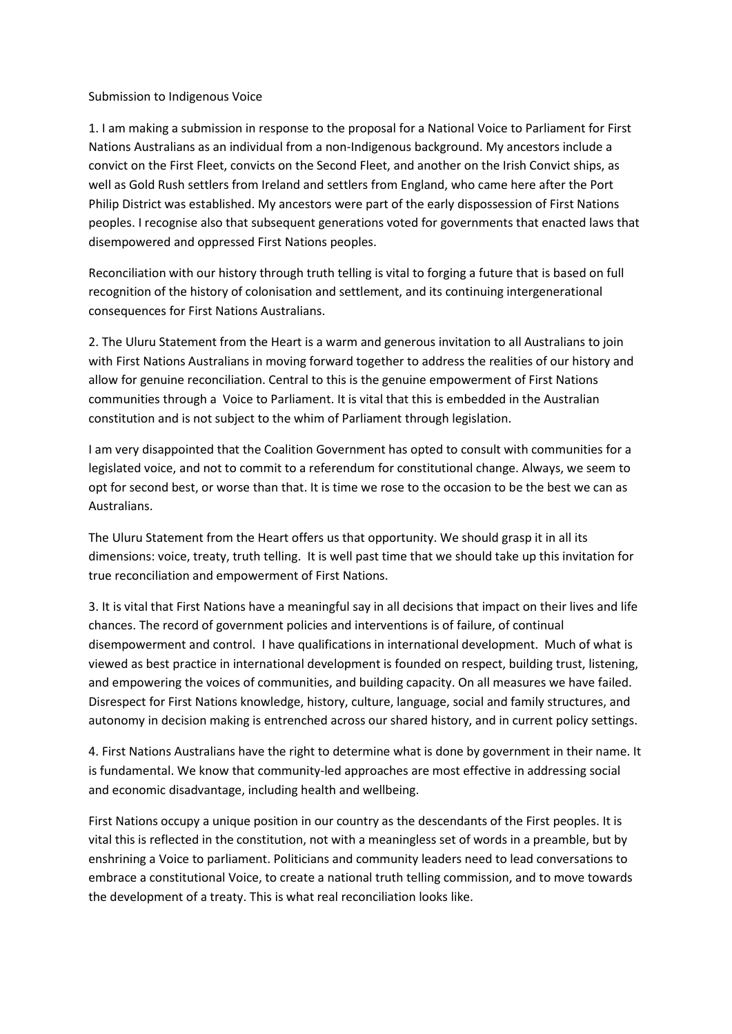## Submission to Indigenous Voice

1. I am making a submission in response to the proposal for a National Voice to Parliament for First Nations Australians as an individual from a non-Indigenous background. My ancestors include a convict on the First Fleet, convicts on the Second Fleet, and another on the Irish Convict ships, as well as Gold Rush settlers from Ireland and settlers from England, who came here after the Port Philip District was established. My ancestors were part of the early dispossession of First Nations peoples. I recognise also that subsequent generations voted for governments that enacted laws that disempowered and oppressed First Nations peoples.

Reconciliation with our history through truth telling is vital to forging a future that is based on full recognition of the history of colonisation and settlement, and its continuing intergenerational consequences for First Nations Australians.

2. The Uluru Statement from the Heart is a warm and generous invitation to all Australians to join with First Nations Australians in moving forward together to address the realities of our history and allow for genuine reconciliation. Central to this is the genuine empowerment of First Nations communities through a Voice to Parliament. It is vital that this is embedded in the Australian constitution and is not subject to the whim of Parliament through legislation.

I am very disappointed that the Coalition Government has opted to consult with communities for a legislated voice, and not to commit to a referendum for constitutional change. Always, we seem to opt for second best, or worse than that. It is time we rose to the occasion to be the best we can as Australians.

The Uluru Statement from the Heart offers us that opportunity. We should grasp it in all its dimensions: voice, treaty, truth telling. It is well past time that we should take up this invitation for true reconciliation and empowerment of First Nations.

3. It is vital that First Nations have a meaningful say in all decisions that impact on their lives and life chances. The record of government policies and interventions is of failure, of continual disempowerment and control. I have qualifications in international development. Much of what is viewed as best practice in international development is founded on respect, building trust, listening, and empowering the voices of communities, and building capacity. On all measures we have failed. Disrespect for First Nations knowledge, history, culture, language, social and family structures, and autonomy in decision making is entrenched across our shared history, and in current policy settings.

4. First Nations Australians have the right to determine what is done by government in their name. It is fundamental. We know that community-led approaches are most effective in addressing social and economic disadvantage, including health and wellbeing.

First Nations occupy a unique position in our country as the descendants of the First peoples. It is vital this is reflected in the constitution, not with a meaningless set of words in a preamble, but by enshrining a Voice to parliament. Politicians and community leaders need to lead conversations to embrace a constitutional Voice, to create a national truth telling commission, and to move towards the development of a treaty. This is what real reconciliation looks like.